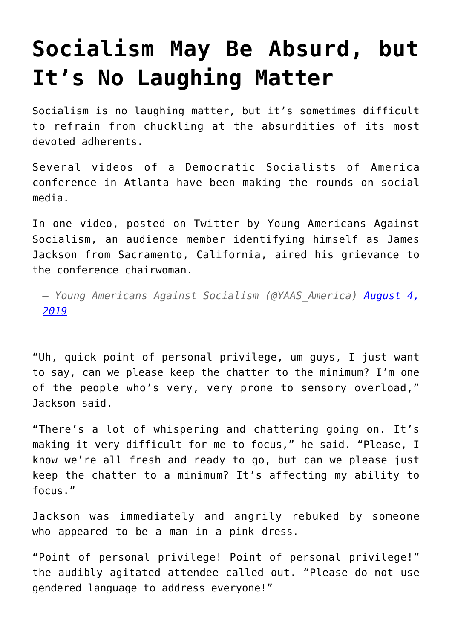## **[Socialism May Be Absurd, but](https://intellectualtakeout.org/2019/08/socialism-may-be-absurd-but-its-no-laughing-matter/) [It's No Laughing Matter](https://intellectualtakeout.org/2019/08/socialism-may-be-absurd-but-its-no-laughing-matter/)**

Socialism is no laughing matter, but it's sometimes difficult to refrain from chuckling at the absurdities of its most devoted adherents.

Several videos of a Democratic Socialists of America conference in Atlanta have been making the rounds on social media.

In one video, posted on Twitter by Young Americans Against Socialism, an audience member identifying himself as James Jackson from Sacramento, California, aired his grievance to the conference chairwoman.

*— Young Americans Against Socialism (@YAAS\_America) [August 4,](https://twitter.com/YAAS_America/status/1157885849796775936?ref_src=twsrc%5Etfw) [2019](https://twitter.com/YAAS_America/status/1157885849796775936?ref_src=twsrc%5Etfw)*

"Uh, quick point of personal privilege, um guys, I just want to say, can we please keep the chatter to the minimum? I'm one of the people who's very, very prone to sensory overload," Jackson said.

"There's a lot of whispering and chattering going on. It's making it very difficult for me to focus," he said. "Please, I know we're all fresh and ready to go, but can we please just keep the chatter to a minimum? It's affecting my ability to focus."

Jackson was immediately and angrily rebuked by someone who appeared to be a man in a pink dress.

"Point of personal privilege! Point of personal privilege!" the audibly agitated attendee called out. "Please do not use gendered language to address everyone!"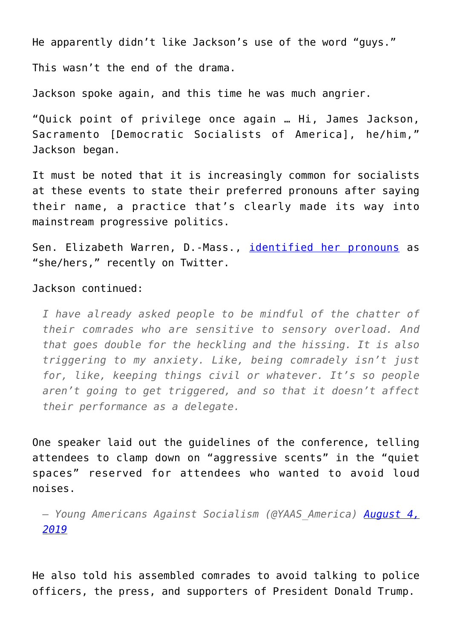He apparently didn't like Jackson's use of the word "guys."

This wasn't the end of the drama.

Jackson spoke again, and this time he was much angrier.

"Quick point of privilege once again … Hi, James Jackson, Sacramento [Democratic Socialists of America], he/him," Jackson began.

It must be noted that it is increasingly common for socialists at these events to state their preferred pronouns after saying their name, a practice that's clearly made its way into mainstream progressive politics.

Sen. Elizabeth Warren, D.-Mass., [identified her pronouns](https://freebeacon.com/politics/elizabeth-warren-adds-preferred-gender-pronouns-to-twitter-bio/) as "she/hers," recently on Twitter.

## Jackson continued:

*I have already asked people to be mindful of the chatter of their comrades who are sensitive to sensory overload. And that goes double for the heckling and the hissing. It is also triggering to my anxiety. Like, being comradely isn't just for, like, keeping things civil or whatever. It's so people aren't going to get triggered, and so that it doesn't affect their performance as a delegate.*

One speaker laid out the guidelines of the conference, telling attendees to clamp down on "aggressive scents" in the "quiet spaces" reserved for attendees who wanted to avoid loud noises.

*— Young Americans Against Socialism (@YAAS\_America) [August 4,](https://twitter.com/YAAS_America/status/1158088364912009216?ref_src=twsrc%5Etfw) [2019](https://twitter.com/YAAS_America/status/1158088364912009216?ref_src=twsrc%5Etfw)*

He also told his assembled comrades to avoid talking to police officers, the press, and supporters of President Donald Trump.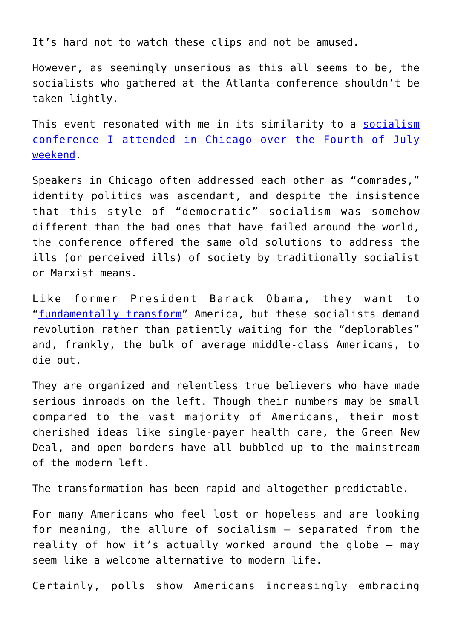It's hard not to watch these clips and not be amused.

However, as seemingly unserious as this all seems to be, the socialists who gathered at the Atlanta conference shouldn't be taken lightly.

This event resonated with me in its similarity to a [socialism](https://www.dailysignal.com/2019/07/15/i-went-to-a-socialism-conference-here-are-my-6-observations/) [conference I attended in Chicago over the Fourth of July](https://www.dailysignal.com/2019/07/15/i-went-to-a-socialism-conference-here-are-my-6-observations/) [weekend](https://www.dailysignal.com/2019/07/15/i-went-to-a-socialism-conference-here-are-my-6-observations/).

Speakers in Chicago often addressed each other as "comrades," identity politics was ascendant, and despite the insistence that this style of "democratic" socialism was somehow different than the bad ones that have failed around the world, the conference offered the same old solutions to address the ills (or perceived ills) of society by traditionally socialist or Marxist means.

Like former President Barack Obama, they want to "[fundamentally transform"](https://www.nationalreview.com/2013/10/obama-transforming-america-victor-davis-hanson/) America, but these socialists demand revolution rather than patiently waiting for the "deplorables" and, frankly, the bulk of average middle-class Americans, to die out.

They are organized and relentless true believers who have made serious inroads on the left. Though their numbers may be small compared to the vast majority of Americans, their most cherished ideas like single-payer health care, the Green New Deal, and open borders have all bubbled up to the mainstream of the modern left.

The transformation has been rapid and altogether predictable.

For many Americans who feel lost or hopeless and are looking for meaning, the allure of socialism – separated from the reality of how it's actually worked around the globe – may seem like a welcome alternative to modern life.

Certainly, polls show Americans increasingly embracing